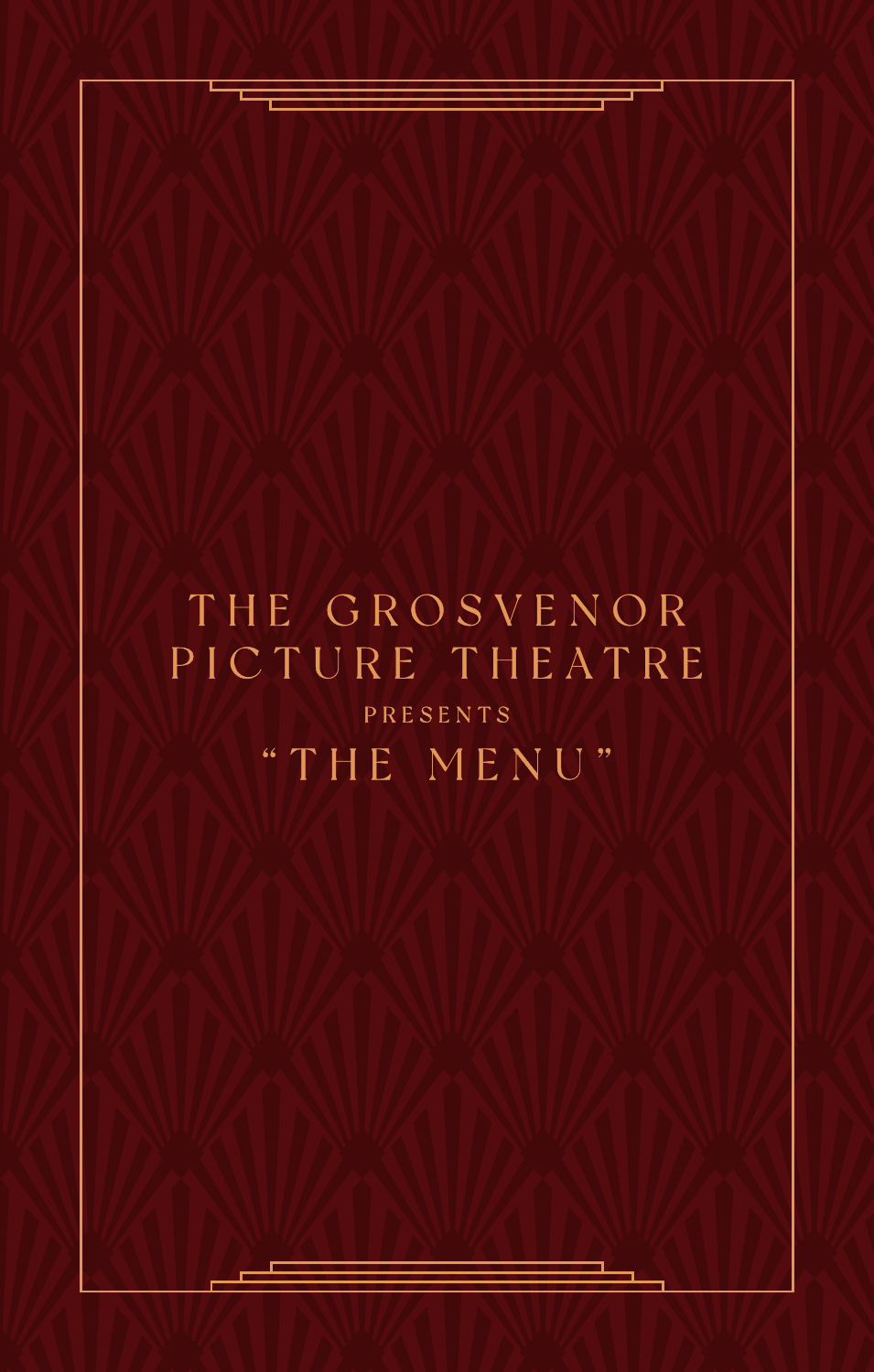# THE GROSVENOR PICTURE THEATRE PRESENTS "THE MENU "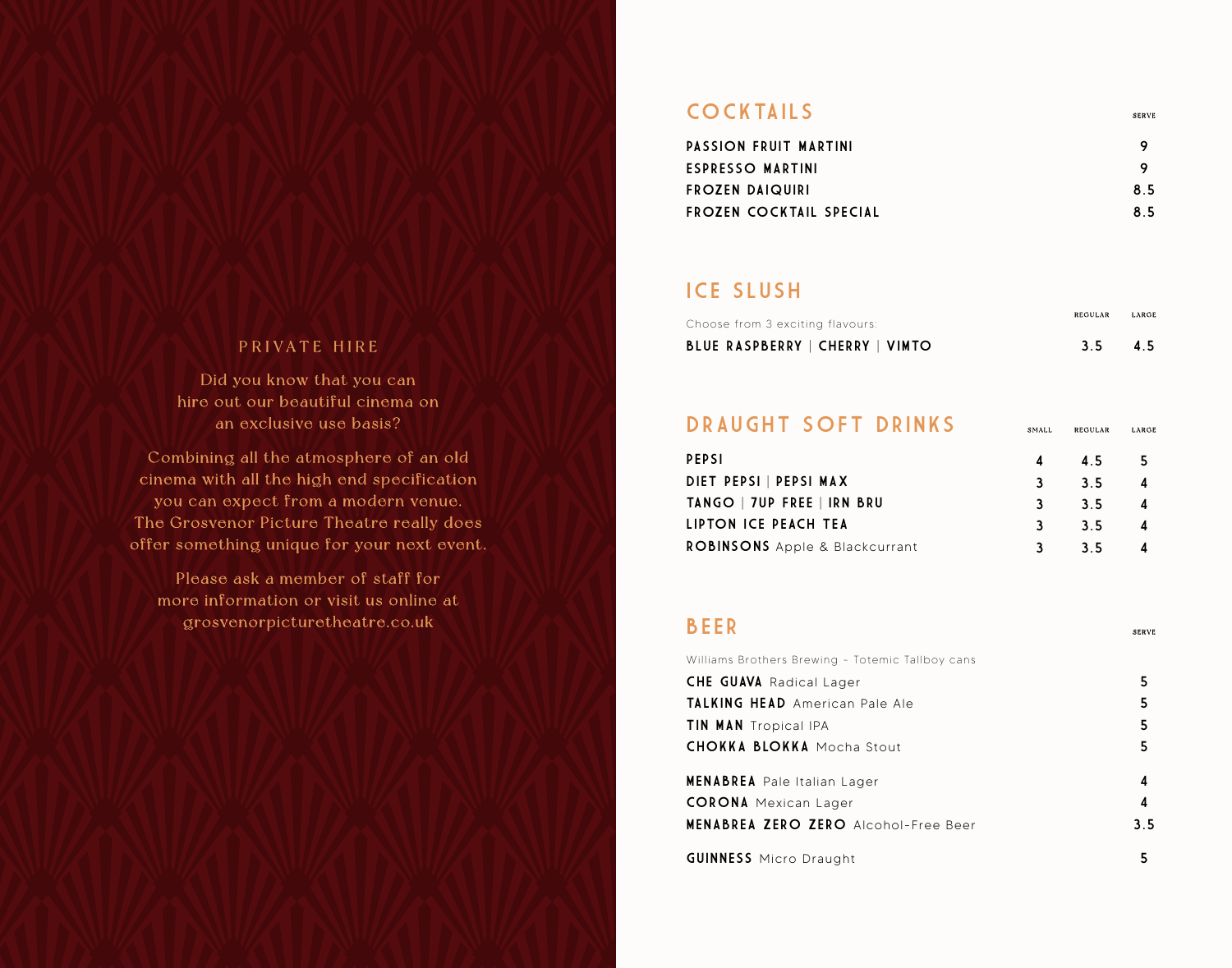#### CO C K TAILS SERVE

| <b>PASSION FRUIT MARTINI</b> |     |
|------------------------------|-----|
| ESPRESSO MARTINI             | o   |
| <b>FROZEN DAIQUIRI</b>       | 8.5 |
| FROZEN COCKTAIL SPECIAL      | 8.5 |

### ICE SLUSH

| Choose from 3 exciting flavours:       | <b>REGULAR</b> | LARGE |
|----------------------------------------|----------------|-------|
| <b>BLUE RASPBERRY   CHERRY   VIMTO</b> | $3.5$ 4.5      |       |

#### PEPSI DIET PEPSI | PEPSI MAX TANGO | 7UP FREE | IRN BRU LIPTON ICE PEACH TEA ROBINSONS Apple & Blackcurrant DRAUGHT SOFT DRINKS SMALL REGULAR LARGE 5 4 4 4 4 **REGULAR** 4.5 3.5 3.5 3.5 3.5 **SMALL** 4 3 3 3 3

#### BEER

| Williams Brothers Brewing - Totemic Tallboy cans |     |
|--------------------------------------------------|-----|
| <b>CHE GUAVA</b> Radical Lager                   | 5   |
| <b>TALKING HEAD</b> American Pale Ale            | 5   |
| <b>TIN MAN</b> Tropical IPA                      | 5   |
| <b>CHOKKA BLOKKA</b> Mocha Stout                 | 5   |
| <b>MENABREA</b> Pale Italian Lager               | 4   |
| <b>CORONA</b> Mexican Lager                      | 4   |
| <b>MENABREA ZERO ZERO</b> Alcohol-Free Beer      | 3.5 |
| <b>GUINNESS</b> Micro Draught                    | 5   |

s e r v e

#### PRIVATE HIRE

Did you know that you can hire out our beautiful cinema on an exclusive use basis?

Combining all the atmosphere of an old cinema with all the high end specification you can expect from a modern venue. The Grosvenor Picture Theatre really does offer something unique for your next event.

Please ask a member of staff for more information or visit us online at grosvenorpicturetheatre.co.uk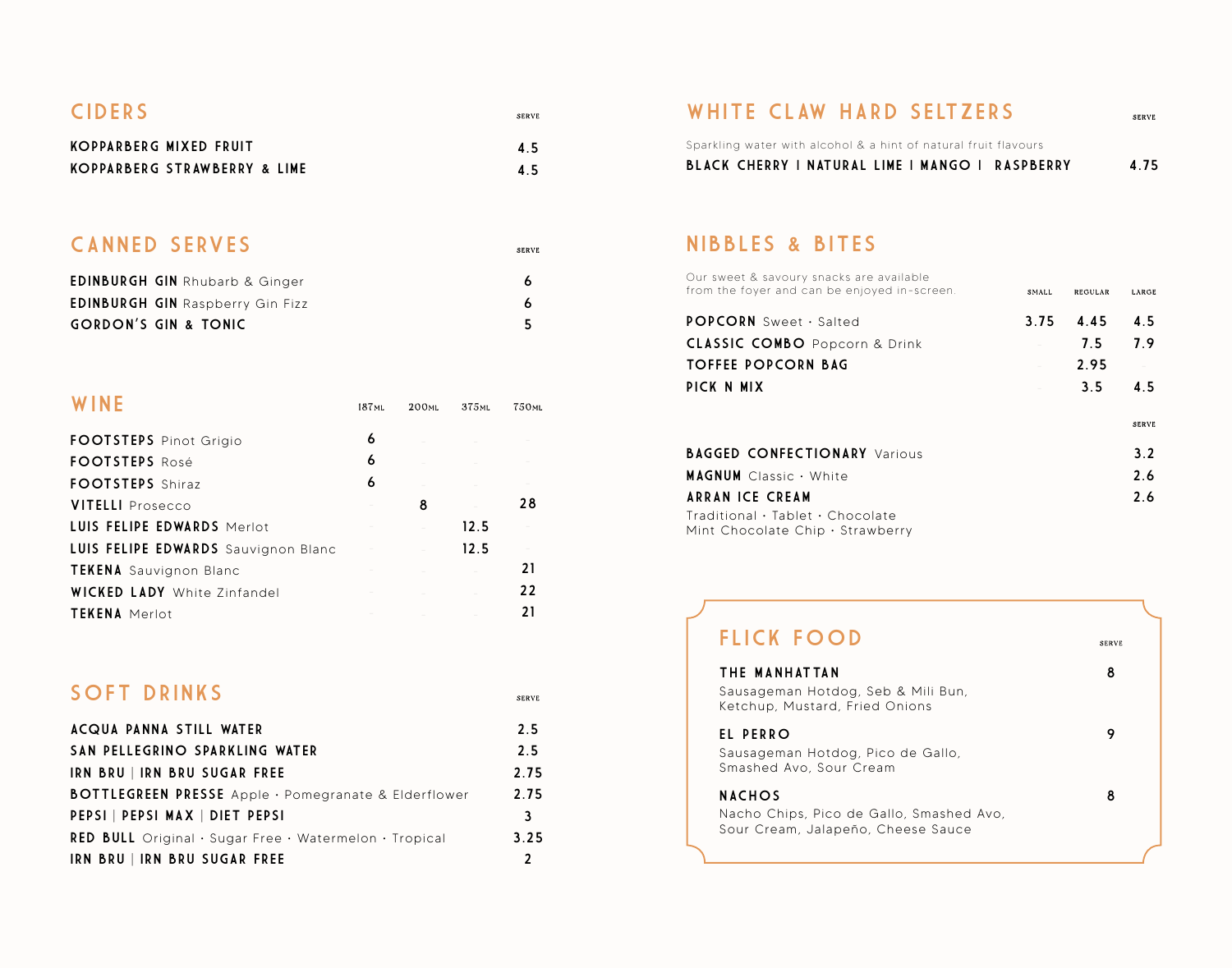| <b>CIDERS</b>                | <b>SERVE</b> |
|------------------------------|--------------|
| KOPPARBERG MIXED FRUIT       | 45           |
| KOPPARBERG STRAWBERRY & LIME | 45           |

#### CANNED SERVES SERVES

| <b>EDINBURGH GIN</b> Rhubarb & Ginger   |  |
|-----------------------------------------|--|
| <b>EDINBURGH GIN</b> Raspberry Gin Fizz |  |
| <b>GORDON'S GIN &amp; TONIC</b>         |  |

|                                            | <b>187ML</b> | 200 <sub>ML</sub> | 375 <sub>ML</sub>           | <b>750ML</b> |
|--------------------------------------------|--------------|-------------------|-----------------------------|--------------|
| <b>FOOTSTEPS</b> Pinot Grigio              | 6            |                   | and the control of the con- |              |
| <b>FOOTSTEPS</b> Rosé                      | 6            |                   |                             |              |
| <b>FOOTSTEPS</b> Shiraz                    | 6            |                   |                             |              |
| <b>VITELLI</b> Prosecco                    |              | 8                 |                             | 28           |
| <b>LUIS FELIPE EDWARDS Merlot</b>          |              |                   | 12.5                        |              |
| <b>LUIS FELIPE EDWARDS</b> Sauvignon Blanc |              |                   | 12.5                        |              |
| <b>TEKENA</b> Sauvignon Blanc              |              |                   |                             | 21           |
| <b>WICKED LADY</b> White Zinfandel         |              |                   |                             | 22           |
| <b>TEKENA</b> Merlot                       |              |                   |                             | 21           |

### SOFT DRINKS

| ACQUA PANNA STILL WATER                                                         | 2.5           |
|---------------------------------------------------------------------------------|---------------|
| SAN PELLEGRINO SPARKLING WATER                                                  | 2.5           |
| IRN BRU   IRN BRU SUGAR FREE                                                    | 2.75          |
| BOTTLEGREEN PRESSE Apple · Pomegranate & Elderflower                            | 2.75          |
| PEPSI   PEPSI MAX   DIET PEPSI                                                  | 3             |
| <b>RED BULL</b> Original $\cdot$ Sugar Free $\cdot$ Watermelon $\cdot$ Tropical | 3.25          |
| IRN BRU   IRN BRU SUGAR FREE                                                    | $\mathfrak z$ |
|                                                                                 |               |

## WHITE CLAW HARD SELTZERS

Sparkling water with alcohol & a hint of natural fruit flavours

BLACK CHERRY | NATURAL LIME | MANGO | RASPBERRY 4.75

#### NIBBLES & BITES

| <b>SMALL</b> | <b>REGULAR</b> | LARGE        |
|--------------|----------------|--------------|
| 3.75         | 4.45           | 4.5          |
|              | 7.5            | 7.9          |
|              | 2.95           |              |
|              | 3.5            | 4.5          |
|              |                | <b>SERVE</b> |
|              |                | 3.2          |
|              |                | 2.6          |
|              |                | 2.6          |
|              |                |              |

| <b>FLICK FOOD</b>                                                                               | <b>SERVE</b> |  |
|-------------------------------------------------------------------------------------------------|--------------|--|
| THE MANHATTAN<br>Sausageman Hotdog, Seb & Mili Bun,<br>Ketchup, Mustard, Fried Onions           | 8            |  |
| EL PERRO<br>Sausageman Hotdog, Pico de Gallo,<br>Smashed Avo, Sour Cream                        | 9            |  |
| <b>NACHOS</b><br>Nacho Chips, Pico de Gallo, Smashed Avo,<br>Sour Cream, Jalapeño, Cheese Sauce | 8            |  |
|                                                                                                 |              |  |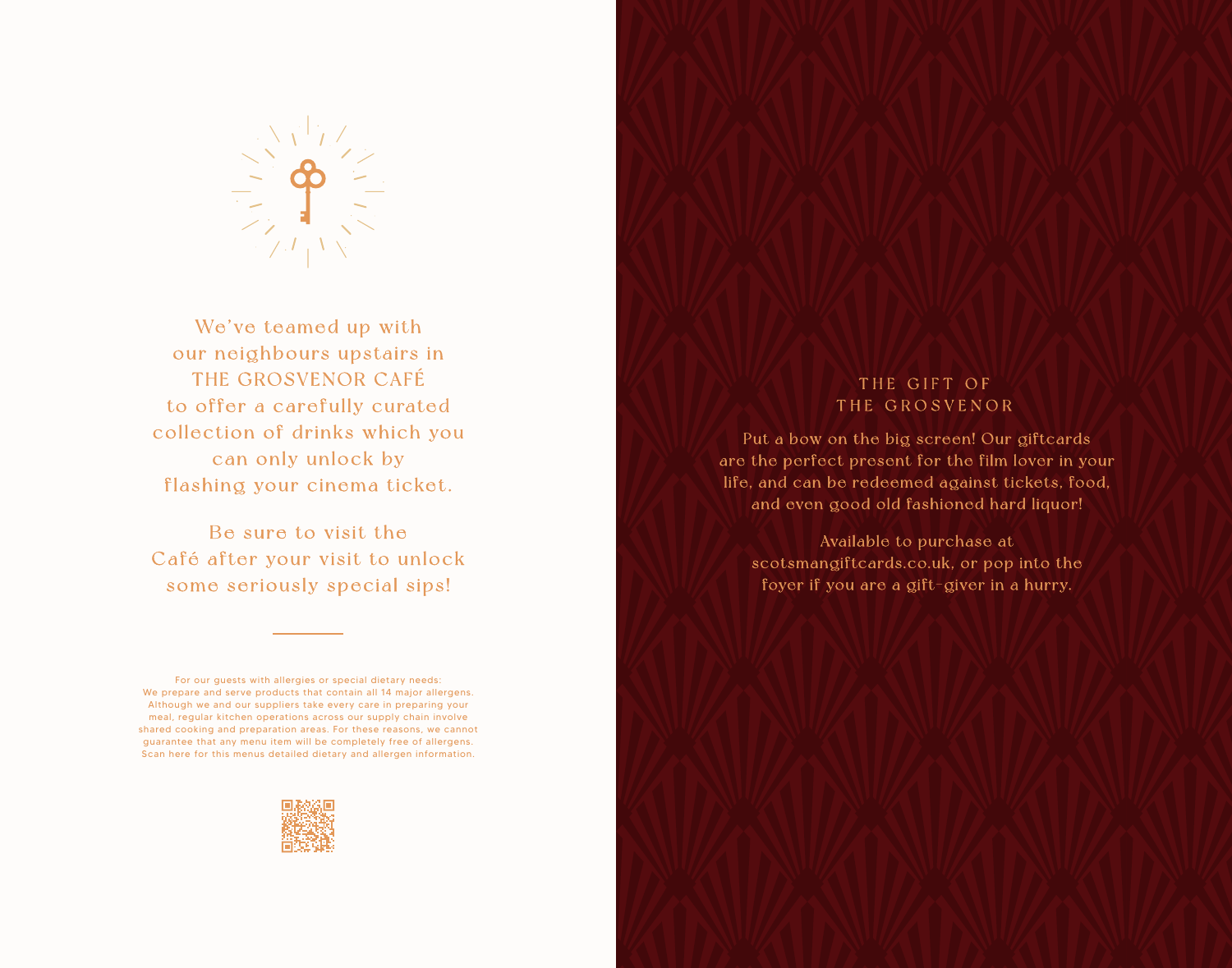

We've teamed up with our neighbours upstairs in THE GROSVENOR CAFÉ to offer a carefully curated collection of drinks which you can only unlock by flashing your cinema ticket.

Be sure to visit the Café after your visit to unlock some seriously special sips!

For our guests with allergies or special dietary needs: We prepare and serve products that contain all 14 major allergens. Although we and our suppliers take every care in preparing your meal, regular kitchen operations across our supply chain involve shared cooking and preparation areas. For these reasons, we cannot guarantee that any menu item will be completely free of allergens. Scan here for this menus detailed dietary and allergen information.



#### THE GIFT OF THE GROSVENOR

Put a bow on the big screen! Our giftcards are the perfect present for the film lover in your life, and can be redeemed against tickets, food, and even good old fashioned hard liquor!

Available to purchase at scotsmangiftcards.co.uk, or pop into the foyer if you are a gift-giver in a hurry.